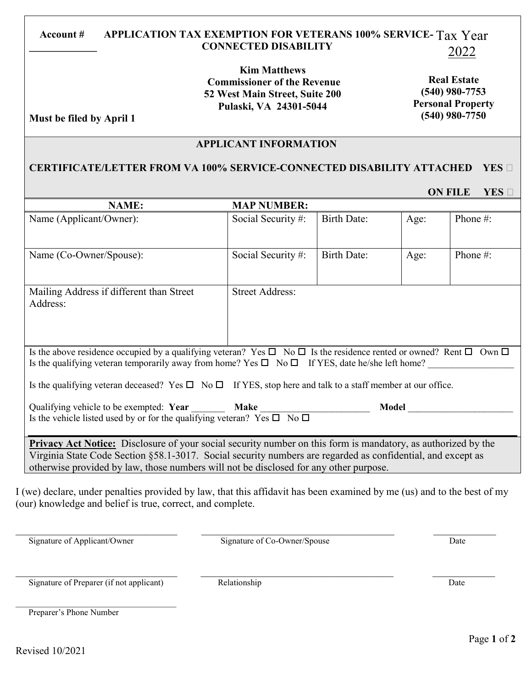#### Virginia State Code Section §58.1-3017. Social security numbers are regarded as confidential, and except as

**Must be filed by April 1**

otherwise provided by law, those numbers will not be disclosed for any other purpose. I (we) declare, under penalties provided by law, that this affidavit has been examined by me (us) and to the best of my

(our) knowledge and belief is true, correct, and complete.

Signature of Applicant/Owner Signature of Co-Owner/Spouse Date

Signature of Preparer (if not applicant) Relationship Relationship Date

 $\mathcal{L}_\text{max}$  and  $\mathcal{L}_\text{max}$  and  $\mathcal{L}_\text{max}$  and  $\mathcal{L}_\text{max}$ Preparer's Phone Number

#### **Account # APPLICATION TAX EXEMPTION FOR VETERANS 100% SERVICE-** Tax Year **\_\_\_\_\_\_\_\_\_\_\_\_\_ CONNECTED DISABILITY** 2022

**Kim Matthews Commissioner of the Revenue 52 West Main Street, Suite 200 Pulaski, VA 24301-5044**

**Real Estate (540) 980-7753 Personal Property (540) 980-7750**

### **APPLICANT INFORMATION**

**NAME: MAP NUMBER:**

## **CERTIFICATE/LETTER FROM VA 100% SERVICE-CONNECTED DISABILITY ATTACHED YES**

 **ON FILE YES** 

| Name (Applicant/Owner):                                                                                                                                                                                                                             | Social Security#:      | <b>Birth Date:</b> | Age: | Phone #: |  |  |
|-----------------------------------------------------------------------------------------------------------------------------------------------------------------------------------------------------------------------------------------------------|------------------------|--------------------|------|----------|--|--|
|                                                                                                                                                                                                                                                     |                        |                    |      |          |  |  |
| Name (Co-Owner/Spouse):                                                                                                                                                                                                                             | Social Security#:      | <b>Birth Date:</b> | Age: | Phone #: |  |  |
|                                                                                                                                                                                                                                                     |                        |                    |      |          |  |  |
| Mailing Address if different than Street                                                                                                                                                                                                            | <b>Street Address:</b> |                    |      |          |  |  |
| Address:                                                                                                                                                                                                                                            |                        |                    |      |          |  |  |
|                                                                                                                                                                                                                                                     |                        |                    |      |          |  |  |
|                                                                                                                                                                                                                                                     |                        |                    |      |          |  |  |
| Is the above residence occupied by a qualifying veteran? Yes $\Box$ No $\Box$ Is the residence rented or owned? Rent $\Box$ Own $\Box$<br>Is the qualifying veteran temporarily away from home? Yes $\Box$ No $\Box$ If YES, date he/she left home? |                        |                    |      |          |  |  |
| Is the qualifying veteran deceased? Yes $\Box$ No $\Box$ If YES, stop here and talk to a staff member at our office.                                                                                                                                |                        |                    |      |          |  |  |
| Qualifying vehicle to be exempted: Year Make                                                                                                                                                                                                        |                        | Model              |      |          |  |  |
| Is the vehicle listed used by or for the qualifying veteran? Yes $\square$ No $\square$                                                                                                                                                             |                        |                    |      |          |  |  |
| <b>Privacy Act Notice:</b> Disclosure of your social security number on this form is mandatory, as authorized by the                                                                                                                                |                        |                    |      |          |  |  |